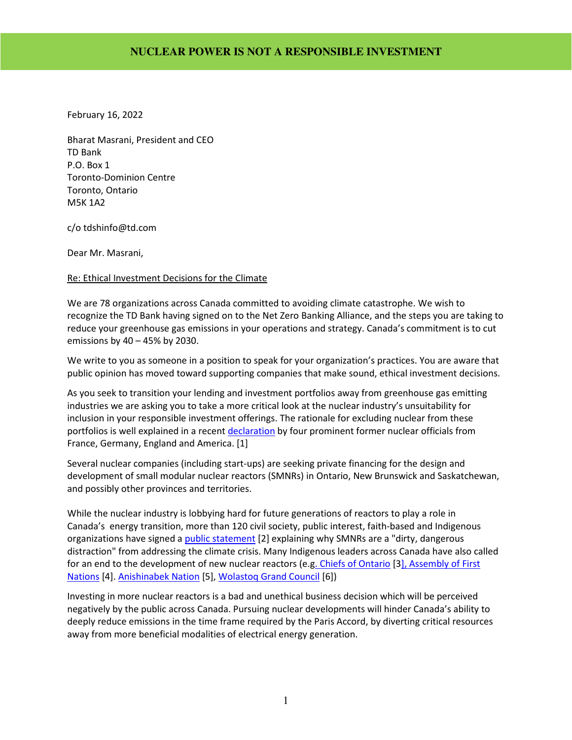February 16, 2022

Bharat Masrani, President and CEO TD Bank P.O. Box 1 Toronto-Dominion Centre Toronto, Ontario M5K 1A2

c/o tdshinfo@td.com

Dear Mr. Masrani,

#### Re: Ethical Investment Decisions for the Climate

We are 78 organizations across Canada committed to avoiding climate catastrophe. We wish to recognize the TD Bank having signed on to the Net Zero Banking Alliance, and the steps you are taking to reduce your greenhouse gas emissions in your operations and strategy. Canada's commitment is to cut emissions by 40 – 45% by 2030.

We write to you as someone in a position to speak for your organization's practices. You are aware that public opinion has moved toward supporting companies that make sound, ethical investment decisions.

As you seek to transition your lending and investment portfolios away from greenhouse gas emitting industries we are asking you to take a more critical look at the nuclear industry's unsuitability for inclusion in your responsible investment offerings. The rationale for excluding nuclear from these portfolios is well explained in a recent declaration by four prominent former nuclear officials from France, Germany, England and America. [1]

Several nuclear companies (including start-ups) are seeking private financing for the design and development of small modular nuclear reactors (SMNRs) in Ontario, New Brunswick and Saskatchewan, and possibly other provinces and territories.

While the nuclear industry is lobbying hard for future generations of reactors to play a role in Canada's energy transition, more than 120 civil society, public interest, faith-based and Indigenous organizations have signed a public statement [2] explaining why SMNRs are a "dirty, dangerous distraction" from addressing the climate crisis. Many Indigenous leaders across Canada have also called for an end to the development of new nuclear reactors (e.g. Chiefs of Ontario [3], Assembly of First Nations [4]. Anishinabek Nation [5], Wolastoq Grand Council [6])

Investing in more nuclear reactors is a bad and unethical business decision which will be perceived negatively by the public across Canada. Pursuing nuclear developments will hinder Canada's ability to deeply reduce emissions in the time frame required by the Paris Accord, by diverting critical resources away from more beneficial modalities of electrical energy generation.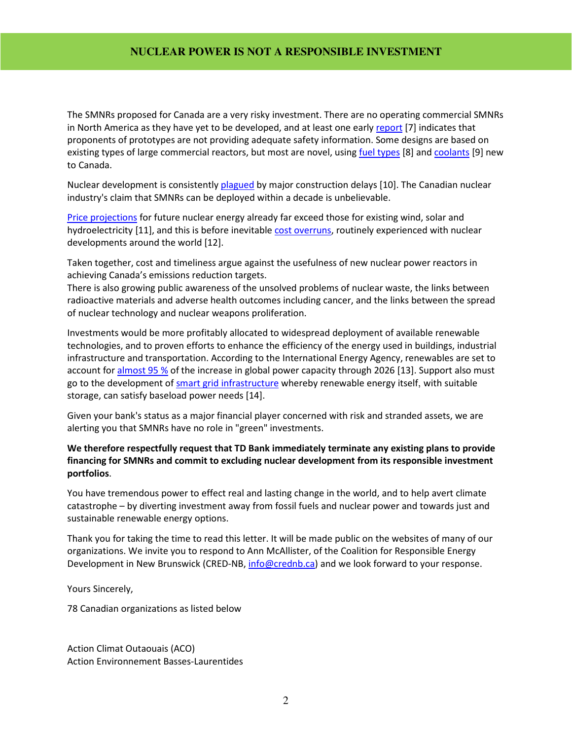The SMNRs proposed for Canada are a very risky investment. There are no operating commercial SMNRs in North America as they have yet to be developed, and at least one early report [7] indicates that proponents of prototypes are not providing adequate safety information. Some designs are based on existing types of large commercial reactors, but most are novel, using fuel types [8] and coolants [9] new to Canada.

Nuclear development is consistently plagued by major construction delays [10]. The Canadian nuclear industry's claim that SMNRs can be deployed within a decade is unbelievable.

Price projections for future nuclear energy already far exceed those for existing wind, solar and hydroelectricity [11], and this is before inevitable cost overruns, routinely experienced with nuclear developments around the world [12].

Taken together, cost and timeliness argue against the usefulness of new nuclear power reactors in achieving Canada's emissions reduction targets.

There is also growing public awareness of the unsolved problems of nuclear waste, the links between radioactive materials and adverse health outcomes including cancer, and the links between the spread of nuclear technology and nuclear weapons proliferation.

Investments would be more profitably allocated to widespread deployment of available renewable technologies, and to proven efforts to enhance the efficiency of the energy used in buildings, industrial infrastructure and transportation. According to the International Energy Agency, renewables are set to account for almost 95 % of the increase in global power capacity through 2026 [13]. Support also must go to the development of **smart grid infrastructure** whereby renewable energy itself, with suitable storage, can satisfy baseload power needs [14].

Given your bank's status as a major financial player concerned with risk and stranded assets, we are alerting you that SMNRs have no role in "green" investments.

#### **We therefore respectfully request that TD Bank immediately terminate any existing plans to provide financing for SMNRs and commit to excluding nuclear development from its responsible investment portfolios**.

You have tremendous power to effect real and lasting change in the world, and to help avert climate catastrophe – by diverting investment away from fossil fuels and nuclear power and towards just and sustainable renewable energy options.

Thank you for taking the time to read this letter. It will be made public on the websites of many of our organizations. We invite you to respond to Ann McAllister, of the Coalition for Responsible Energy Development in New Brunswick (CRED-NB, info@crednb.ca) and we look forward to your response.

Yours Sincerely,

78 Canadian organizations as listed below

Action Climat Outaouais (ACO) Action Environnement Basses-Laurentides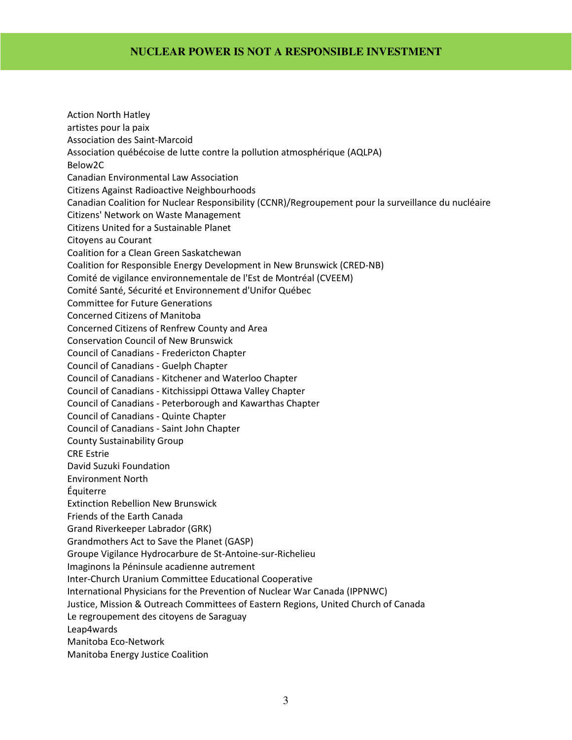Action North Hatley artistes pour la paix Association des Saint-Marcoid Association québécoise de lutte contre la pollution atmosphérique (AQLPA) Below2C Canadian Environmental Law Association Citizens Against Radioactive Neighbourhoods Canadian Coalition for Nuclear Responsibility (CCNR)/Regroupement pour la surveillance du nucléaire Citizens' Network on Waste Management Citizens United for a Sustainable Planet Citoyens au Courant Coalition for a Clean Green Saskatchewan Coalition for Responsible Energy Development in New Brunswick (CRED-NB) Comité de vigilance environnementale de l'Est de Montréal (CVEEM) Comité Santé, Sécurité et Environnement d'Unifor Québec Committee for Future Generations Concerned Citizens of Manitoba Concerned Citizens of Renfrew County and Area Conservation Council of New Brunswick Council of Canadians - Fredericton Chapter Council of Canadians - Guelph Chapter Council of Canadians - Kitchener and Waterloo Chapter Council of Canadians - Kitchissippi Ottawa Valley Chapter Council of Canadians - Peterborough and Kawarthas Chapter Council of Canadians - Quinte Chapter Council of Canadians - Saint John Chapter County Sustainability Group CRE Estrie David Suzuki Foundation Environment North Équiterre Extinction Rebellion New Brunswick Friends of the Earth Canada Grand Riverkeeper Labrador (GRK) Grandmothers Act to Save the Planet (GASP) Groupe Vigilance Hydrocarbure de St-Antoine-sur-Richelieu Imaginons la Péninsule acadienne autrement Inter-Church Uranium Committee Educational Cooperative International Physicians for the Prevention of Nuclear War Canada (IPPNWC) Justice, Mission & Outreach Committees of Eastern Regions, United Church of Canada Le regroupement des citoyens de Saraguay Leap4wards Manitoba Eco-Network

Manitoba Energy Justice Coalition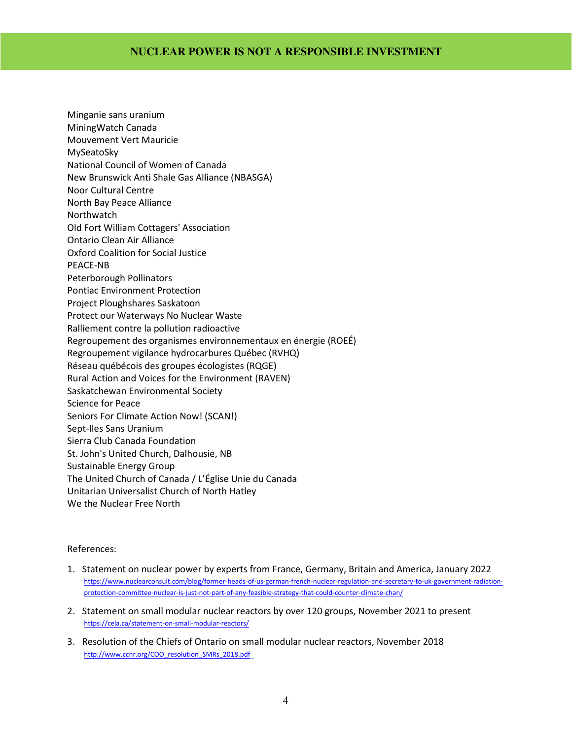Minganie sans uranium MiningWatch Canada Mouvement Vert Mauricie MySeatoSky National Council of Women of Canada New Brunswick Anti Shale Gas Alliance (NBASGA) Noor Cultural Centre North Bay Peace Alliance **Northwatch** Old Fort William Cottagers' Association Ontario Clean Air Alliance Oxford Coalition for Social Justice PEACE-NB Peterborough Pollinators Pontiac Environment Protection Project Ploughshares Saskatoon Protect our Waterways No Nuclear Waste Ralliement contre la pollution radioactive Regroupement des organismes environnementaux en énergie (ROEÉ) Regroupement vigilance hydrocarbures Québec (RVHQ) Réseau québécois des groupes écologistes (RQGE) Rural Action and Voices for the Environment (RAVEN) Saskatchewan Environmental Society Science for Peace Seniors For Climate Action Now! (SCAN!) Sept-Iles Sans Uranium Sierra Club Canada Foundation St. John's United Church, Dalhousie, NB Sustainable Energy Group The United Church of Canada / L'Église Unie du Canada Unitarian Universalist Church of North Hatley We the Nuclear Free North

#### References:

- 1. Statement on nuclear power by experts from France, Germany, Britain and America, January 2022 https://www.nuclearconsult.com/blog/former-heads-of-us-german-french-nuclear-regulation-and-secretary-to-uk-government-radiationprotection-committee-nuclear-is-just-not-part-of-any-feasible-strategy-that-could-counter-climate-chan/
- 2. Statement on small modular nuclear reactors by over 120 groups, November 2021 to present https://cela.ca/statement-on-small-modular-reactors/
- 3. Resolution of the Chiefs of Ontario on small modular nuclear reactors, November 2018 http://www.ccnr.org/COO\_resolution\_SMRs\_2018.pdf